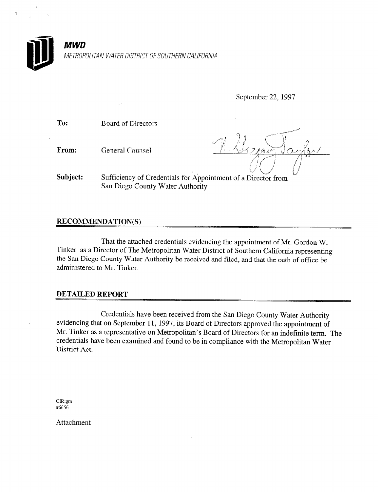

METROPOLITAN WATER DISTRICT OF SOUTHERN CALIFORNIA

September 22, 1997

To: Board of Directors

From: General Counsel

<sup>r</sup>-- .\_,....,.. -,\*\*-"  $\lambda$   $\lambda$   $\lambda$   $\lambda$   $\lambda$   $\lambda$   $\lambda$   $\lambda$  $\leftrightarrow$  212  $\rightarrow$ /q "'1  $/$   $/$ 

Subject: Sufficiency of Credentials for Appointment of a Director from San Diego County Water Authority

## RECOMMENDATION(S)

That the attached credentials evidencing the appointment of Mr. Gordon W. Tinker as a Director of The Metropolitan Water District of Southern California representing the San Diego County Water Authority be received and filed, and that the oath of office be administered to Mr. Tinker.

## DETAILED REPORT

Credentials have been received from the San Diego County Water Authority evidencing that on September 11, 1997, its Board of Directors approved the appointment of Mr. Tinker as a representative on Metropolitan's Board of Directors for an indefinite term. The credentials have been examined and found to be in compliance with the Metropolitan Water District Act.

CR:gm #6656

Attachment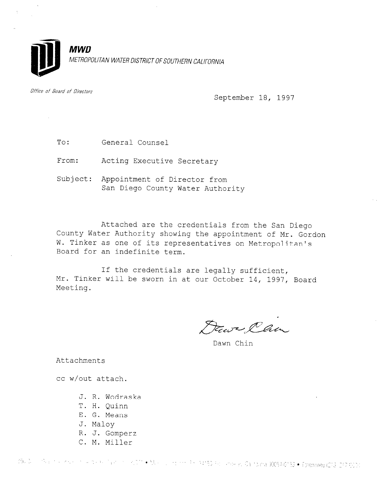

Office of Board of Directors

September 18, 1997

To: General Counsel

From: Acting Executive Secretary

Subject: Appointment of Director from San Diego County Water Authority

Attached are the credentials from the San Diego County Water Authority showing the appointment of Mr. Gordon W. Tinker as one of its representatives on Metropolitan's Board for an indefinite term.

If the credentials are legally sufficient, Mr. Tinker will be sworn in at our October 14, 1997, Board Meeting.

Fair Clu

Dawn Chin

Attachments

cc w/out attach.

- J. R. Wodraska
- T. H. Quinn
- E. G. Means
- J. Maloy
- R. J. Gomperz
- C. M. Miller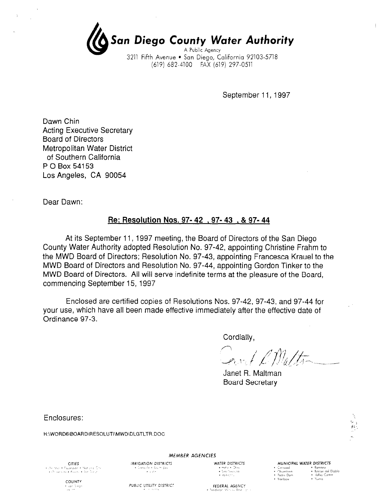San Diego County Water Authority A Public Agency

3211 Fifth Avenue · San Diego, California 92103-5718 (619) 682-4100 FAX (619) 297-0511

September 11, 1997

Dawn Chin Acting Executive Secretary Board of Directors Metropolitan Water District of Southern California P 0 Box 54153 Los Angeles, CA 90054

Dear Dawn:

## Re: Resolution Nos. 97- 42 , 97- 43 . & 97- 44

At its September 11, 1997 meeting, the Board of Directors of the San Diego County Water Authority adopted Resolution No. 97-42, appointing Christine Frahm to  $\frac{1}{100}$  MMD  $\frac{1}{100}$  Board of Directors; Resolution No. 97-42, appointing Company Francesca Krauel to the theory MWD Board of Directors, resolution No. 97-49, appointing Grandesca Niquel to MWD Board of Directors and Resolution No. 97-44, appointing Gordon Tinker to the MWD Board of Directors. All will serve indefinite terms at the pleasure of the Board, commencing September 15, 1997

Enclosed are certified copies of Resolutions Nos. 97-42, 97-43, and 97-44 for Liftuosed are certified copies of resolutions ivos.  $97-42$ ,  $97-43$ , and  $97-44$  to your use, which have all been made effective immediately after the effective date of Ordinance 97-3.

 $\mathcal{A} = \mathcal{A} \mathcal{A} = \mathcal{A} \mathcal{A}$  $\sim$   $\sim$   $\sim$   $\sim$   $\sim$   $\sim$ 

Janet R. Maltman **Board Secretary** 

Enclosures:

H:\WORD6\BOARD\RESOLUTI\MWD\DLGTLTR.DOC





 $MEMBER$  AGENCIES

THE SERVICE STRICTS WATER DISTRICTS ANNIFORMER DISTRICTS AND DISTRICTS AND DISTRICTS . ,,: ,,.< . ""h. Darn \* ki!e, :::n,rv . hnbaw . 'i,,,ma  $\cdot$   $^{9}$ ndre Dom  $\cdot$  ? anbow

COUNTY  $\star$  part 3 eqs.<br>  $\star$ 

 $CITIES$ Sarres<br>With the Facebade + National City<br>Of Sarsade + Powers + Ban Diesni

PUBLIC UTILITY DISTRICT

 $+$  lemba de a doum day.<br> $+$  lemba de a doum day.

FEDERAL AGENCY

 $\frac{1}{2}$ <br> $\frac{1}{2}$  Dengthed FFDERAI  $\frac{1}{2}$ <br> $\frac{1}{2}$  B  $\frac{1}{2}$ <br> $\frac{1}{2}$  B  $\frac{1}{2}$ <br> $\frac{1}{2}$  B  $\frac{1}{2}$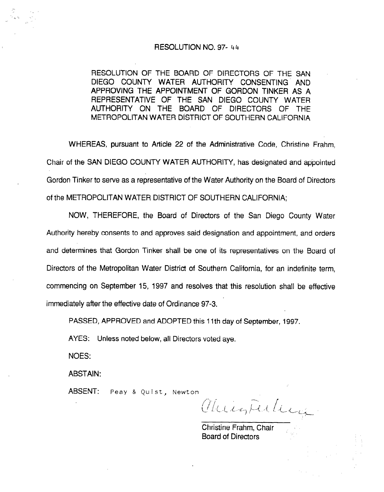#### RESOLUTION NO. 97- 44

RESOLUTION OF THE BOARD OF DIRECTORS OF THE SAN DIEGO COUNTY WATER AUTHORITY CONSENTING' AND APPROVING THE APPOINTMENT OF GORDON TINKER AS A REPRESENTATIVE OF THE SAN DIEGO COUNTY WATER AUTHORITY ON THE BOARD OF DIRECTORS OF THE METROPOLITAN WATER DiSTRlCT OF SOUTHERN CALIFORNIA

WHEREAS, pursuant to Article 22 of the Administrative Code, Christine Frahm, Chair of the SAN DIEGO COUNTY WATER AUTHORITY, has designated and appointed Gordon Tinker to serve as a representative of the Water Authority on the Board of Directors of the METROPOLITAN WATER DlSTRlCT OF SOUTHERN CALIFORNIA;

NOW, THEREFORE, the Board of Directors of the San Diego County Water Authority hereby consents to and approves said designation and appointment, and orders and determines that Gordon Tinker shall be one of its representatives on the Board of Directors of the Metropolitan Water District of Southern California, for an indefinite term, commencing on September 15, 1997 and resolves that this resolution shall be effective immediately after the effective date of Ordinance 97-3.

PASSED, APPROVED and ADOPTED this 11th day of September, 1997.

AYES: Unless noted below, all Directors voted aye.

NOES:

ABSTAIN:

ABSENT: Peay & Quist, Newton

 $(x_1, x_2, \ldots)$ 

Christine Frahm, Chair Board of Directors "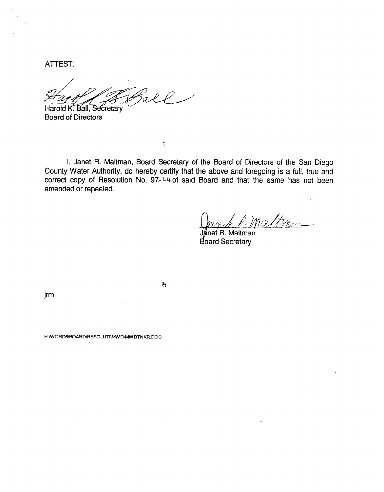ATTEST:

Harold K. Ball, Secretary

Board of Directors

I, Janet R. Maltman, Board Secretary of the Board of Directors of the San Diego County Water Authority, do hereby certify that the above and foregoing is a full, true and correct copy of Resolution No. 97-44 of said Board and that the same has not been amended or repealed.

 $\mathfrak{r}_\tau$ 

Ř

Janet R. Maltman doard Secretary

jrm

H:\WORD6\BOARD\RESOLUTI\MWD\MWDTNKR.DOC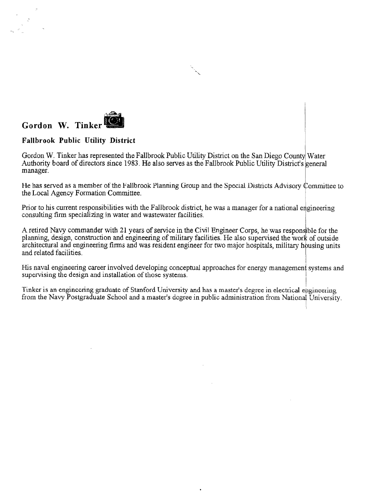

### Fallbrook Public Utility District

Gordon W. Tinker has represented the Fallbrook Public Utility District on the San Diego County Water Authority board of directors since 1983. He also serves as the Fallbrook Public Utility District's general manager.  $\mathbf{L}$ 

He has served as a member of the Fallbrook Planning Group and the Special Districts Advisory ommittee to The has served as a member of the Fahotook Framing Group and the Special Districts Advisory C<br>the Local Agency Formation Committee

Prior to his current responsibilities with the Fallbrook district, he was a manager for a national e r not to his current responsibilities with the randrook district, '\$reering

A retired Navy commander with 21 years of service in the Civil Engineer Corps, he was responsible for the A retired ivavy commander with 21 years of service in the Civil Engineer Corps, he was responsible for the planning, design, construction and engineering of military facilities. He also supervised the work of outside architectural and engineering firms and was resident engineer for two major hospitals, military housing units and related facilities.  $\mathbb{R}$ 

His naval engineering career involved developing conceptual approaches for energy management systems and His naval engineering career involved developing conceptual approaches for energy management I

Tinker is an engineering graduate of Stanford University and has a master's degree in electrical engineering finker is an engineering graduate of Stantord University and has a master's degree in electrical engineering.